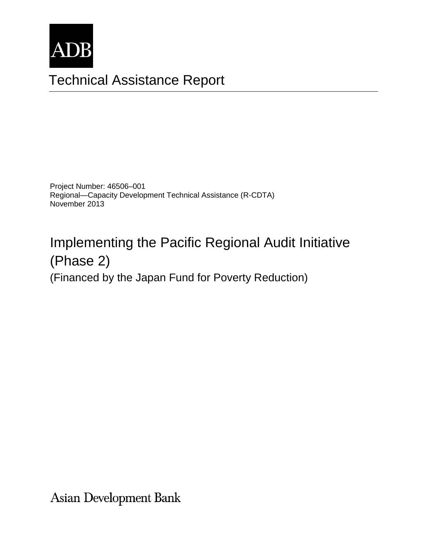

# Technical Assistance Report

Project Number: 46506–001 Regional—Capacity Development Technical Assistance (R-CDTA) November 2013

# Implementing the Pacific Regional Audit Initiative (Phase 2)

(Financed by the Japan Fund for Poverty Reduction)

**Asian Development Bank**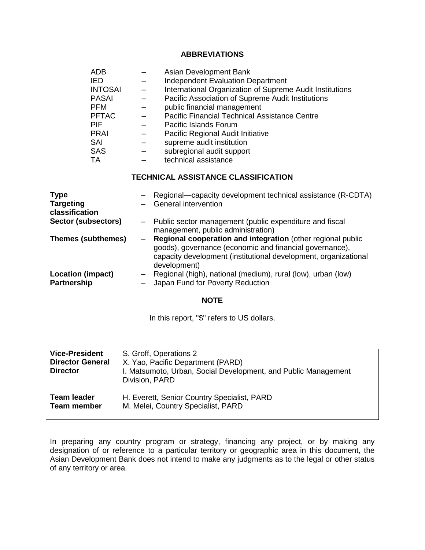#### **ABBREVIATIONS**

| <b>ADB</b>     | Asian Development Bank                                   |
|----------------|----------------------------------------------------------|
| <b>IED</b>     | <b>Independent Evaluation Department</b>                 |
| <b>INTOSAI</b> | International Organization of Supreme Audit Institutions |
| <b>PASAI</b>   | Pacific Association of Supreme Audit Institutions        |
| <b>PFM</b>     | public financial management                              |
| <b>PFTAC</b>   | Pacific Financial Technical Assistance Centre            |
| <b>PIF</b>     | Pacific Islands Forum                                    |
| <b>PRAI</b>    | Pacific Regional Audit Initiative                        |
| SAI            | supreme audit institution                                |
| <b>SAS</b>     | subregional audit support                                |
| <b>TA</b>      | technical assistance                                     |

## **TECHNICAL ASSISTANCE CLASSIFICATION**

| <b>Type</b><br><b>Targeting</b><br>classification | Regional-capacity development technical assistance (R-CDTA)<br><b>General intervention</b>                                                                                                                |
|---------------------------------------------------|-----------------------------------------------------------------------------------------------------------------------------------------------------------------------------------------------------------|
| Sector (subsectors)                               | - Public sector management (public expenditure and fiscal<br>management, public administration)                                                                                                           |
| <b>Themes (subthemes)</b>                         | Regional cooperation and integration (other regional public<br>goods), governance (economic and financial governance),<br>capacity development (institutional development, organizational<br>development) |
| <b>Location (impact)</b><br><b>Partnership</b>    | Regional (high), national (medium), rural (low), urban (low)<br>Japan Fund for Poverty Reduction                                                                                                          |

#### **NOTE**

In this report, "\$" refers to US dollars.

| <b>Vice-President</b><br><b>Director General</b><br><b>Director</b> | S. Groff, Operations 2<br>X. Yao, Pacific Department (PARD)<br>I. Matsumoto, Urban, Social Development, and Public Management<br>Division, PARD |
|---------------------------------------------------------------------|-------------------------------------------------------------------------------------------------------------------------------------------------|
| <b>Team leader</b>                                                  | H. Everett, Senior Country Specialist, PARD                                                                                                     |
| <b>Team member</b>                                                  | M. Melei, Country Specialist, PARD                                                                                                              |

In preparing any country program or strategy, financing any project, or by making any designation of or reference to a particular territory or geographic area in this document, the Asian Development Bank does not intend to make any judgments as to the legal or other status of any territory or area.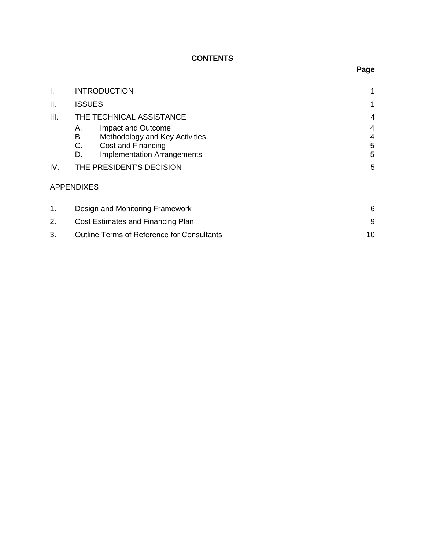# **CONTENTS**

| I.   | <b>INTRODUCTION</b>                                                                                                                      | 1                |  |
|------|------------------------------------------------------------------------------------------------------------------------------------------|------------------|--|
| ΙΙ.  | <b>ISSUES</b>                                                                                                                            | 1                |  |
| III. | THE TECHNICAL ASSISTANCE                                                                                                                 |                  |  |
|      | Impact and Outcome<br>А.<br>В.<br>Methodology and Key Activities<br>Cost and Financing<br>C.<br><b>Implementation Arrangements</b><br>D. | 4<br>4<br>5<br>5 |  |
| IV.  | THE PRESIDENT'S DECISION                                                                                                                 | 5                |  |
|      | <b>APPENDIXES</b>                                                                                                                        |                  |  |
| 1.   | Design and Monitoring Framework                                                                                                          | 6                |  |
| 2.   | Cost Estimates and Financing Plan                                                                                                        |                  |  |
| 3.   | <b>Outline Terms of Reference for Consultants</b>                                                                                        | 10               |  |

# **Page**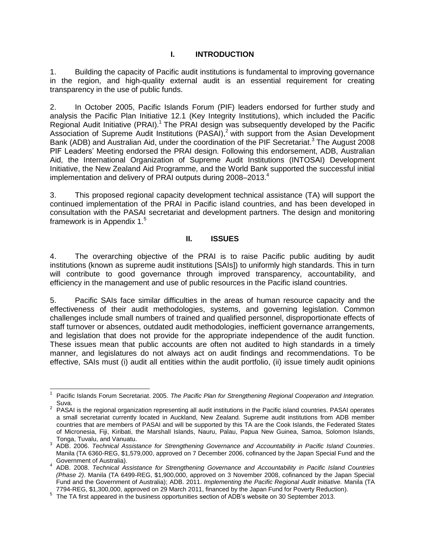# **I. INTRODUCTION**

1. Building the capacity of Pacific audit institutions is fundamental to improving governance in the region, and high-quality external audit is an essential requirement for creating transparency in the use of public funds.

2. In October 2005, Pacific Islands Forum (PIF) leaders endorsed for further study and analysis the Pacific Plan Initiative 12.1 (Key Integrity Institutions), which included the Pacific Regional Audit Initiative (PRAI).<sup>1</sup> The PRAI design was subsequently developed by the Pacific Association of Supreme Audit Institutions (PASAI),<sup>2</sup> with support from the Asian Development Bank (ADB) and Australian Aid, under the coordination of the PIF Secretariat.<sup>3</sup> The August 2008 PIF Leaders' Meeting endorsed the PRAI design. Following this endorsement, ADB, Australian Aid, the International Organization of Supreme Audit Institutions (INTOSAI) Development Initiative, the New Zealand Aid Programme, and the World Bank supported the successful initial implementation and delivery of PRAI outputs during 2008–2013. 4

3. This proposed regional capacity development technical assistance (TA) will support the continued implementation of the PRAI in Pacific island countries, and has been developed in consultation with the PASAI secretariat and development partners. The design and monitoring framework is in Appendix 1.<sup>5</sup>

#### **II. ISSUES**

4. The overarching objective of the PRAI is to raise Pacific public auditing by audit institutions (known as supreme audit institutions [SAIs]) to uniformly high standards. This in turn will contribute to good governance through improved transparency, accountability, and efficiency in the management and use of public resources in the Pacific island countries.

5. Pacific SAIs face similar difficulties in the areas of human resource capacity and the effectiveness of their audit methodologies, systems, and governing legislation. Common challenges include small numbers of trained and qualified personnel, disproportionate effects of staff turnover or absences, outdated audit methodologies, inefficient governance arrangements, and legislation that does not provide for the appropriate independence of the audit function. These issues mean that public accounts are often not audited to high standards in a timely manner, and legislatures do not always act on audit findings and recommendations. To be effective, SAIs must (i) audit all entities within the audit portfolio, (ii) issue timely audit opinions

 $\overline{a}$ 1 Pacific Islands Forum Secretariat. 2005. *The Pacific Plan for Strengthening Regional Cooperation and Integration.* Suva.

 $2$  PASAI is the regional organization representing all audit institutions in the Pacific island countries. PASAI operates a small secretariat currently located in Auckland, New Zealand. Supreme audit institutions from ADB member countries that are members of PASAI and will be supported by this TA are the Cook Islands, the Federated States of Micronesia, Fiji, Kiribati, the Marshall Islands, Nauru, Palau, Papua New Guinea, Samoa, Solomon Islands, Tonga, Tuvalu, and Vanuatu.

<sup>3</sup> ADB. 2006. *Technical Assistance for Strengthening Governance and Accountability in Pacific Island Countries*. Manila (TA 6360-REG, \$1,579,000, approved on 7 December 2006, cofinanced by the Japan Special Fund and the

Government of Australia). 4 ADB. 2008. *Technical Assistance for Strengthening Governance and Accountability in Pacific Island Countries (Phase 2)*. Manila (TA 6499-REG, \$1,900,000, approved on 3 November 2008, cofinanced by the Japan Special Fund and the Government of Australia); ADB. 2011. *Implementing the Pacific Regional Audit Initiative.* Manila (TA 7794-REG, \$1,300,000, approved on 29 March 2011, financed by the Japan Fund for Poverty Reduction).

 $5$  The TA first appeared in the business opportunities section of ADB's website on 30 September 2013.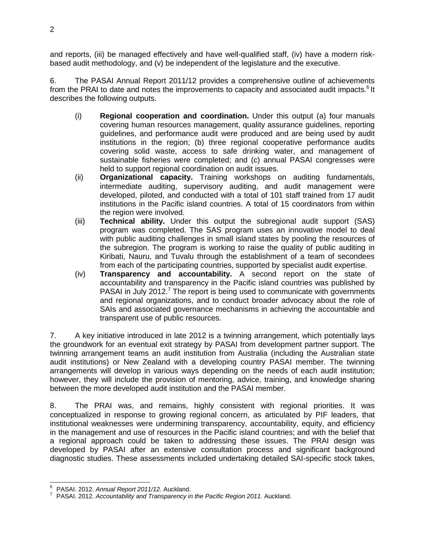and reports, (iii) be managed effectively and have well-qualified staff, (iv) have a modern riskbased audit methodology, and (v) be independent of the legislature and the executive.

6. The PASAI Annual Report 2011/12 provides a comprehensive outline of achievements from the PRAI to date and notes the improvements to capacity and associated audit impacts.<sup>6</sup> It describes the following outputs.

- (i) **Regional cooperation and coordination.** Under this output (a) four manuals covering human resources management, quality assurance guidelines, reporting guidelines, and performance audit were produced and are being used by audit institutions in the region; (b) three regional cooperative performance audits covering solid waste, access to safe drinking water, and management of sustainable fisheries were completed; and (c) annual PASAI congresses were held to support regional coordination on audit issues.
- (ii) **Organizational capacity.** Training workshops on auditing fundamentals, intermediate auditing, supervisory auditing, and audit management were developed, piloted, and conducted with a total of 101 staff trained from 17 audit institutions in the Pacific island countries. A total of 15 coordinators from within the region were involved.
- (iii) **Technical ability.** Under this output the subregional audit support (SAS) program was completed. The SAS program uses an innovative model to deal with public auditing challenges in small island states by pooling the resources of the subregion. The program is working to raise the quality of public auditing in Kiribati, Nauru, and Tuvalu through the establishment of a team of secondees from each of the participating countries, supported by specialist audit expertise.
- (iv) **Transparency and accountability.** A second report on the state of accountability and transparency in the Pacific island countries was published by PASAI in July 2012.<sup>7</sup> The report is being used to communicate with governments and regional organizations, and to conduct broader advocacy about the role of SAIs and associated governance mechanisms in achieving the accountable and transparent use of public resources.

7. A key initiative introduced in late 2012 is a twinning arrangement, which potentially lays the groundwork for an eventual exit strategy by PASAI from development partner support. The twinning arrangement teams an audit institution from Australia (including the Australian state audit institutions) or New Zealand with a developing country PASAI member. The twinning arrangements will develop in various ways depending on the needs of each audit institution; however, they will include the provision of mentoring, advice, training, and knowledge sharing between the more developed audit institution and the PASAI member.

8. The PRAI was, and remains, highly consistent with regional priorities. It was conceptualized in response to growing regional concern, as articulated by PIF leaders, that institutional weaknesses were undermining transparency, accountability, equity, and efficiency in the management and use of resources in the Pacific island countries; and with the belief that a regional approach could be taken to addressing these issues. The PRAI design was developed by PASAI after an extensive consultation process and significant background diagnostic studies. These assessments included undertaking detailed SAI-specific stock takes,

 $\overline{\phantom{a}}$ 

<sup>6</sup> PASAI. 2012. *Annual Report 2011/12.* Auckland.

<sup>7</sup> PASAI. 2012. *Accountability and Transparency in the Pacific Region 2011.* Auckland.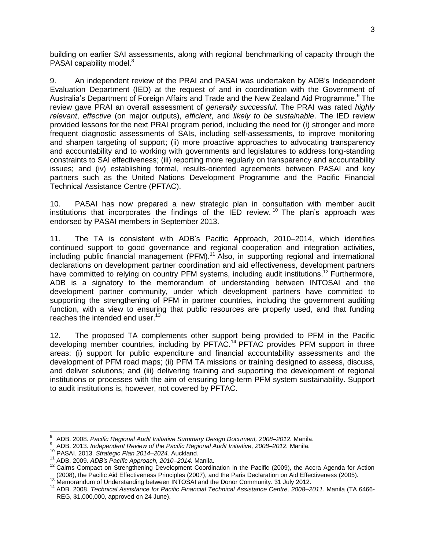building on earlier SAI assessments, along with regional benchmarking of capacity through the PASAI capability model.<sup>8</sup>

9. An independent review of the PRAI and PASAI was undertaken by ADB's Independent Evaluation Department (IED) at the request of and in coordination with the Government of Australia's Department of Foreign Affairs and Trade and the New Zealand Aid Programme.<sup>9</sup> The review gave PRAI an overall assessment of *generally successful*. The PRAI was rated *highly relevant*, *effective* (on major outputs), *efficient*, and *likely to be sustainable*. The IED review provided lessons for the next PRAI program period, including the need for (i) stronger and more frequent diagnostic assessments of SAIs, including self-assessments, to improve monitoring and sharpen targeting of support; (ii) more proactive approaches to advocating transparency and accountability and to working with governments and legislatures to address long-standing constraints to SAI effectiveness; (iii) reporting more regularly on transparency and accountability issues; and (iv) establishing formal, results-oriented agreements between PASAI and key partners such as the United Nations Development Programme and the Pacific Financial Technical Assistance Centre (PFTAC).

10. PASAI has now prepared a new strategic plan in consultation with member audit institutions that incorporates the findings of the IED review. <sup>10</sup> The plan's approach was endorsed by PASAI members in September 2013.

11. The TA is consistent with ADB's Pacific Approach, 2010–2014, which identifies continued support to good governance and regional cooperation and integration activities, including public financial management (PFM). <sup>11</sup> Also, in supporting regional and international declarations on development partner coordination and aid effectiveness, development partners have committed to relying on country PFM systems, including audit institutions.<sup>12</sup> Furthermore, ADB is a signatory to the memorandum of understanding between INTOSAI and the development partner community, under which development partners have committed to supporting the strengthening of PFM in partner countries, including the government auditing function, with a view to ensuring that public resources are properly used, and that funding reaches the intended end user.<sup>13</sup>

12. The proposed TA complements other support being provided to PFM in the Pacific developing member countries, including by PFTAC.<sup>14</sup> PFTAC provides PFM support in three areas: (i) support for public expenditure and financial accountability assessments and the development of PFM road maps; (ii) PFM TA missions or training designed to assess, discuss, and deliver solutions; and (iii) delivering training and supporting the development of regional institutions or processes with the aim of ensuring long-term PFM system sustainability. Support to audit institutions is, however, not covered by PFTAC.

<sup>8</sup> ADB. 2008. *Pacific Regional Audit Initiative Summary Design Document, 2008–2012.* Manila.

<sup>9</sup> ADB. 2013. *Independent Review of the Pacific Regional Audit Initiative, 2008–2012.* Manila.

<sup>10</sup> PASAI. 2013. *Strategic Plan 2014–2024.* Auckland.

<sup>11</sup> ADB. 2009. *ADB's Pacific Approach, 2010–2014.* Manila.

<sup>&</sup>lt;sup>12</sup> Cairns Compact on Strengthening Development Coordination in the Pacific (2009), the Accra Agenda for Action (2008), the Pacific Aid Effectiveness Principles (2007), and the Paris Declaration on Aid Effectiveness (2005).

<sup>&</sup>lt;sup>13</sup> Memorandum of Understanding between INTOSAI and the Donor Community. 31 July 2012.

<sup>14</sup> ADB. 2008. *Technical Assistance for Pacific Financial Technical Assistance Centre, 2008–2011*. Manila (TA 6466- REG, \$1,000,000, approved on 24 June).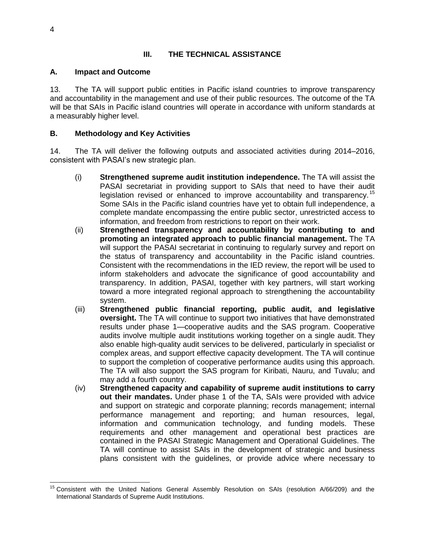# **III. THE TECHNICAL ASSISTANCE**

#### **A. Impact and Outcome**

13. The TA will support public entities in Pacific island countries to improve transparency and accountability in the management and use of their public resources. The outcome of the TA will be that SAIs in Pacific island countries will operate in accordance with uniform standards at a measurably higher level.

## **B. Methodology and Key Activities**

14. The TA will deliver the following outputs and associated activities during 2014–2016, consistent with PASAI's new strategic plan.

- (i) **Strengthened supreme audit institution independence.** The TA will assist the PASAI secretariat in providing support to SAIs that need to have their audit legislation revised or enhanced to improve accountability and transparency.<sup>15</sup> Some SAIs in the Pacific island countries have yet to obtain full independence, a complete mandate encompassing the entire public sector, unrestricted access to information, and freedom from restrictions to report on their work.
- (ii) **Strengthened transparency and accountability by contributing to and promoting an integrated approach to public financial management.** The TA will support the PASAI secretariat in continuing to regularly survey and report on the status of transparency and accountability in the Pacific island countries. Consistent with the recommendations in the IED review, the report will be used to inform stakeholders and advocate the significance of good accountability and transparency. In addition, PASAI, together with key partners, will start working toward a more integrated regional approach to strengthening the accountability system.
- (iii) **Strengthened public financial reporting, public audit, and legislative oversight.** The TA will continue to support two initiatives that have demonstrated results under phase 1—cooperative audits and the SAS program. Cooperative audits involve multiple audit institutions working together on a single audit. They also enable high-quality audit services to be delivered, particularly in specialist or complex areas, and support effective capacity development. The TA will continue to support the completion of cooperative performance audits using this approach. The TA will also support the SAS program for Kiribati, Nauru, and Tuvalu; and may add a fourth country.
- (iv) **Strengthened capacity and capability of supreme audit institutions to carry out their mandates.** Under phase 1 of the TA, SAIs were provided with advice and support on strategic and corporate planning; records management; internal performance management and reporting; and human resources, legal, information and communication technology, and funding models. These requirements and other management and operational best practices are contained in the PASAI Strategic Management and Operational Guidelines. The TA will continue to assist SAIs in the development of strategic and business plans consistent with the guidelines, or provide advice where necessary to

 $\overline{a}$ <sup>15</sup> Consistent with the United Nations General Assembly Resolution on SAIs (resolution A/66/209) and the International Standards of Supreme Audit Institutions.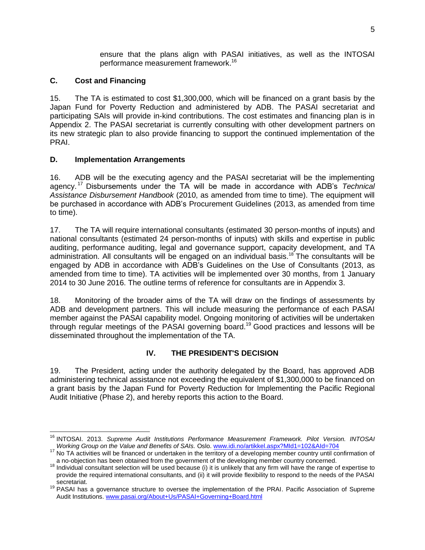ensure that the plans align with PASAI initiatives, as well as the INTOSAI performance measurement framework. 16

# **C. Cost and Financing**

15. The TA is estimated to cost \$1,300,000, which will be financed on a grant basis by the Japan Fund for Poverty Reduction and administered by ADB. The PASAI secretariat and participating SAIs will provide in-kind contributions. The cost estimates and financing plan is in Appendix 2. The PASAI secretariat is currently consulting with other development partners on its new strategic plan to also provide financing to support the continued implementation of the PRAI.

# **D. Implementation Arrangements**

16. ADB will be the executing agency and the PASAI secretariat will be the implementing agency. <sup>17</sup> Disbursements under the TA will be made in accordance with ADB's *Technical Assistance Disbursement Handbook* (2010, as amended from time to time). The equipment will be purchased in accordance with ADB's Procurement Guidelines (2013, as amended from time to time).

17. The TA will require international consultants (estimated 30 person-months of inputs) and national consultants (estimated 24 person-months of inputs) with skills and expertise in public auditing, performance auditing, legal and governance support, capacity development, and TA administration. All consultants will be engaged on an individual basis.<sup>18</sup> The consultants will be engaged by ADB in accordance with ADB's Guidelines on the Use of Consultants (2013, as amended from time to time). TA activities will be implemented over 30 months, from 1 January 2014 to 30 June 2016. The outline terms of reference for consultants are in Appendix 3.

18. Monitoring of the broader aims of the TA will draw on the findings of assessments by ADB and development partners. This will include measuring the performance of each PASAI member against the PASAI capability model. Ongoing monitoring of activities will be undertaken through regular meetings of the PASAI governing board.<sup>19</sup> Good practices and lessons will be disseminated throughout the implementation of the TA.

# **IV. THE PRESIDENT'S DECISION**

19. The President, acting under the authority delegated by the Board, has approved ADB administering technical assistance not exceeding the equivalent of \$1,300,000 to be financed on a grant basis by the Japan Fund for Poverty Reduction for Implementing the Pacific Regional Audit Initiative (Phase 2), and hereby reports this action to the Board.

 <sup>16</sup> INTOSAI. 2013. *Supreme Audit Institutions Performance Measurement Framework. Pilot Version. INTOSAI Working Group on the Value and Benefits of SAIs.* Oslo[. www.idi.no/artikkel.aspx?MId1=102&AId=704](http://www.idi.no/artikkel.aspx?MId1=102&AId=704)

<sup>&</sup>lt;sup>17</sup> No TA activities will be financed or undertaken in the territory of a developing member country until confirmation of a no-objection has been obtained from the government of the developing member country concerned.

<sup>&</sup>lt;sup>18</sup> Individual consultant selection will be used because (i) it is unlikely that any firm will have the range of expertise to provide the required international consultants, and (ii) it will provide flexibility to respond to the needs of the PASAI secretariat.

<sup>19</sup> PASAI has a governance structure to oversee the implementation of the PRAI. Pacific Association of Supreme Audit Institutions[. www.pasai.org/About+Us/PASAI+Governing+Board.html](http://www.pasai.org/About+Us/PASAI+Governing+Board.html)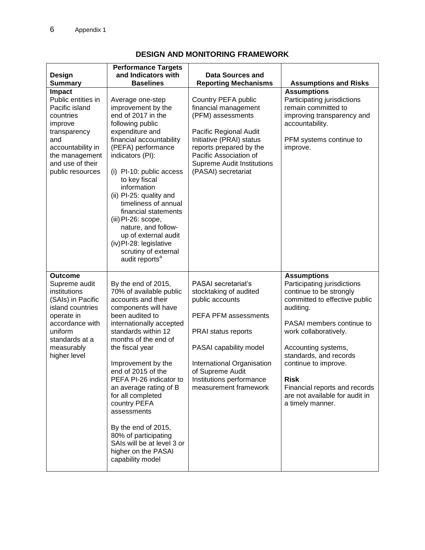| <b>Design</b><br><b>Summary</b>                                                                                                                                                      | <b>Performance Targets</b><br>and Indicators with<br><b>Baselines</b>                                                                                                                                                                                                                                                                                                                                                                                                                      | <b>Data Sources and</b><br><b>Reporting Mechanisms</b>                                                                                                                                                                                           | <b>Assumptions and Risks</b>                                                                                                                                                                                                                                                                                                                                    |
|--------------------------------------------------------------------------------------------------------------------------------------------------------------------------------------|--------------------------------------------------------------------------------------------------------------------------------------------------------------------------------------------------------------------------------------------------------------------------------------------------------------------------------------------------------------------------------------------------------------------------------------------------------------------------------------------|--------------------------------------------------------------------------------------------------------------------------------------------------------------------------------------------------------------------------------------------------|-----------------------------------------------------------------------------------------------------------------------------------------------------------------------------------------------------------------------------------------------------------------------------------------------------------------------------------------------------------------|
| Impact<br>Public entities in<br>Pacific island<br>countries<br>improve<br>transparency<br>and<br>accountability in<br>the management<br>and use of their<br>public resources         | Average one-step<br>improvement by the<br>end of 2017 in the<br>following public<br>expenditure and<br>financial accountability<br>(PEFA) performance<br>indicators (PI):<br>(i) PI-10: public access<br>to key fiscal<br>information<br>(ii) PI-25: quality and<br>timeliness of annual<br>financial statements<br>(iii) PI-26: scope,<br>nature, and follow-<br>up of external audit<br>(iv) PI-28: legislative<br>scrutiny of external<br>audit reports <sup>a</sup>                    | Country PEFA public<br>financial management<br>(PFM) assessments<br>Pacific Regional Audit<br>Initiative (PRAI) status<br>reports prepared by the<br>Pacific Association of<br><b>Supreme Audit Institutions</b><br>(PASAI) secretariat          | <b>Assumptions</b><br>Participating jurisdictions<br>remain committed to<br>improving transparency and<br>accountability.<br>PFM systems continue to<br>improve.                                                                                                                                                                                                |
| <b>Outcome</b><br>Supreme audit<br>institutions<br>(SAIs) in Pacific<br>island countries<br>operate in<br>accordance with<br>uniform<br>standards at a<br>measurably<br>higher level | By the end of 2015,<br>70% of available public<br>accounts and their<br>components will have<br>been audited to<br>internationally accepted<br>standards within 12<br>months of the end of<br>the fiscal year<br>Improvement by the<br>end of 2015 of the<br>PEFA PI-26 indicator to<br>an average rating of B<br>for all completed<br>country PEFA<br>assessments<br>By the end of 2015,<br>80% of participating<br>SAIs will be at level 3 or<br>higher on the PASAI<br>capability model | PASAI secretariat's<br>stocktaking of audited<br>public accounts<br>PEFA PFM assessments<br>PRAI status reports<br>PASAI capability model<br>International Organisation<br>of Supreme Audit<br>Institutions performance<br>measurement framework | <b>Assumptions</b><br>Participating jurisdictions<br>continue to be strongly<br>committed to effective public<br>auditing.<br>PASAI members continue to<br>work collaboratively.<br>Accounting systems,<br>standards, and records<br>continue to improve.<br><b>Risk</b><br>Financial reports and records<br>are not available for audit in<br>a timely manner. |

# **DESIGN AND MONITORING FRAMEWORK**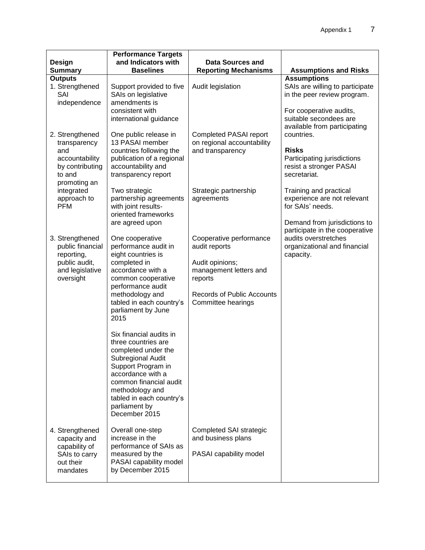|                                                                                                                                                  | <b>Performance Targets</b>                                                                                                                                                                                                                                                                                                                                                                                                                                                     |                                                                                                                                                             |                                                                                                                                                                                                                                                                             |
|--------------------------------------------------------------------------------------------------------------------------------------------------|--------------------------------------------------------------------------------------------------------------------------------------------------------------------------------------------------------------------------------------------------------------------------------------------------------------------------------------------------------------------------------------------------------------------------------------------------------------------------------|-------------------------------------------------------------------------------------------------------------------------------------------------------------|-----------------------------------------------------------------------------------------------------------------------------------------------------------------------------------------------------------------------------------------------------------------------------|
| <b>Design</b>                                                                                                                                    | and Indicators with                                                                                                                                                                                                                                                                                                                                                                                                                                                            | Data Sources and                                                                                                                                            |                                                                                                                                                                                                                                                                             |
| <b>Summary</b>                                                                                                                                   | <b>Baselines</b>                                                                                                                                                                                                                                                                                                                                                                                                                                                               | <b>Reporting Mechanisms</b>                                                                                                                                 | <b>Assumptions and Risks</b>                                                                                                                                                                                                                                                |
| <b>Outputs</b><br>1. Strengthened<br>SAI<br>independence                                                                                         | Support provided to five<br>SAIs on legislative<br>amendments is<br>consistent with                                                                                                                                                                                                                                                                                                                                                                                            | Audit legislation                                                                                                                                           | <b>Assumptions</b><br>SAIs are willing to participate<br>in the peer review program.<br>For cooperative audits,                                                                                                                                                             |
| 2. Strengthened<br>transparency<br>and<br>accountability<br>by contributing<br>to and<br>promoting an<br>integrated<br>approach to<br><b>PFM</b> | international guidance<br>One public release in<br>13 PASAI member<br>countries following the<br>publication of a regional<br>accountability and<br>transparency report<br>Two strategic<br>partnership agreements<br>with joint results-<br>oriented frameworks<br>are agreed upon                                                                                                                                                                                            | <b>Completed PASAI report</b><br>on regional accountability<br>and transparency<br>Strategic partnership<br>agreements                                      | suitable secondees are<br>available from participating<br>countries.<br><b>Risks</b><br>Participating jurisdictions<br>resist a stronger PASAI<br>secretariat.<br>Training and practical<br>experience are not relevant<br>for SAIs' needs.<br>Demand from jurisdictions to |
| 3. Strengthened<br>public financial<br>reporting,<br>public audit,<br>and legislative<br>oversight                                               | One cooperative<br>performance audit in<br>eight countries is<br>completed in<br>accordance with a<br>common cooperative<br>performance audit<br>methodology and<br>tabled in each country's<br>parliament by June<br>2015<br>Six financial audits in<br>three countries are<br>completed under the<br>Subregional Audit<br>Support Program in<br>accordance with a<br>common financial audit<br>methodology and<br>tabled in each country's<br>parliament by<br>December 2015 | Cooperative performance<br>audit reports<br>Audit opinions;<br>management letters and<br>reports<br><b>Records of Public Accounts</b><br>Committee hearings | participate in the cooperative<br>audits overstretches<br>organizational and financial<br>capacity.                                                                                                                                                                         |
| 4. Strengthened<br>capacity and<br>capability of<br>SAIs to carry<br>out their<br>mandates                                                       | Overall one-step<br>increase in the<br>performance of SAIs as<br>measured by the<br>PASAI capability model<br>by December 2015                                                                                                                                                                                                                                                                                                                                                 | Completed SAI strategic<br>and business plans<br>PASAI capability model                                                                                     |                                                                                                                                                                                                                                                                             |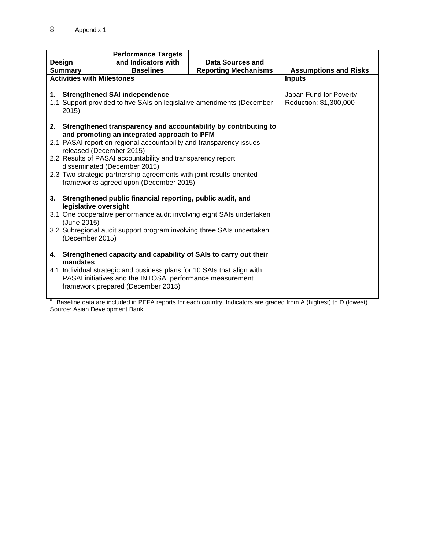|                                                                                                      | <b>Performance Targets</b>                                              |                                                                       |                              |
|------------------------------------------------------------------------------------------------------|-------------------------------------------------------------------------|-----------------------------------------------------------------------|------------------------------|
| Design                                                                                               | and Indicators with                                                     | Data Sources and                                                      |                              |
| <b>Summary</b>                                                                                       | <b>Reporting Mechanisms</b><br><b>Baselines</b>                         |                                                                       | <b>Assumptions and Risks</b> |
| <b>Activities with Milestones</b>                                                                    |                                                                         |                                                                       | <b>Inputs</b>                |
|                                                                                                      |                                                                         |                                                                       |                              |
|                                                                                                      | 1. Strengthened SAI independence                                        |                                                                       | Japan Fund for Poverty       |
|                                                                                                      |                                                                         | 1.1 Support provided to five SAIs on legislative amendments (December | Reduction: \$1,300,000       |
| 2015                                                                                                 |                                                                         |                                                                       |                              |
|                                                                                                      |                                                                         |                                                                       |                              |
|                                                                                                      |                                                                         | 2. Strengthened transparency and accountability by contributing to    |                              |
|                                                                                                      | and promoting an integrated approach to PFM                             |                                                                       |                              |
|                                                                                                      | 2.1 PASAI report on regional accountability and transparency issues     |                                                                       |                              |
| released (December 2015)                                                                             |                                                                         |                                                                       |                              |
| 2.2 Results of PASAI accountability and transparency report                                          |                                                                         |                                                                       |                              |
| disseminated (December 2015)<br>2.3 Two strategic partnership agreements with joint results-oriented |                                                                         |                                                                       |                              |
|                                                                                                      |                                                                         |                                                                       |                              |
| frameworks agreed upon (December 2015)                                                               |                                                                         |                                                                       |                              |
|                                                                                                      | 3. Strengthened public financial reporting, public audit, and           |                                                                       |                              |
| legislative oversight                                                                                |                                                                         |                                                                       |                              |
|                                                                                                      |                                                                         | 3.1 One cooperative performance audit involving eight SAIs undertaken |                              |
| (June 2015)                                                                                          |                                                                         |                                                                       |                              |
|                                                                                                      |                                                                         | 3.2 Subregional audit support program involving three SAIs undertaken |                              |
| (December 2015)                                                                                      |                                                                         |                                                                       |                              |
|                                                                                                      |                                                                         |                                                                       |                              |
|                                                                                                      | 4. Strengthened capacity and capability of SAIs to carry out their      |                                                                       |                              |
| mandates                                                                                             |                                                                         |                                                                       |                              |
|                                                                                                      | 4.1 Individual strategic and business plans for 10 SAIs that align with |                                                                       |                              |
|                                                                                                      | PASAI initiatives and the INTOSAI performance measurement               |                                                                       |                              |
|                                                                                                      | framework prepared (December 2015)                                      |                                                                       |                              |
|                                                                                                      |                                                                         |                                                                       |                              |

<sup>a</sup> Baseline data are included in PEFA reports for each country. Indicators are graded from A (highest) to D (lowest). Source: Asian Development Bank.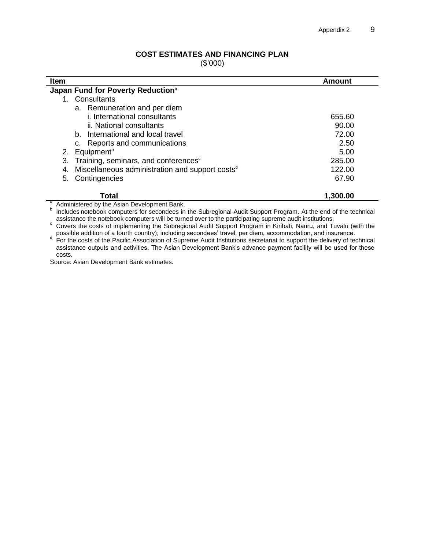#### **COST ESTIMATES AND FINANCING PLAN**

(\$'000)

| <b>Item</b>                                                       | Amount   |
|-------------------------------------------------------------------|----------|
| Japan Fund for Poverty Reduction <sup>a</sup>                     |          |
| Consultants                                                       |          |
| a. Remuneration and per diem                                      |          |
| i. International consultants                                      | 655.60   |
| ii. National consultants                                          | 90.00    |
| b. International and local travel                                 | 72.00    |
| c. Reports and communications                                     | 2.50     |
| Equipment <sup>b</sup><br>2.                                      | 5.00     |
| Training, seminars, and conferences <sup>c</sup><br>3.            | 285.00   |
| Miscellaneous administration and support costs <sup>d</sup><br>4. | 122.00   |
| Contingencies<br>5.                                               | 67.90    |
| Total                                                             | 1,300.00 |
| Administered by the Asian Development Bank.                       |          |

<sup>b</sup> Includes notebook computers for secondees in the Subregional Audit Support Program. At the end of the technical

assistance the notebook computers will be turned over to the participating supreme audit institutions.

<sup>c</sup> Covers the costs of implementing the Subregional Audit Support Program in Kiribati, Nauru, and Tuvalu (with the

possible addition of a fourth country); including secondees' travel, per diem, accommodation, and insurance.<br>For the costs of the Pacific Association of Supreme Audit Institutions secretariat to support the delivery of tec assistance outputs and activities. The Asian Development Bank's advance payment facility will be used for these costs.

Source: Asian Development Bank estimates.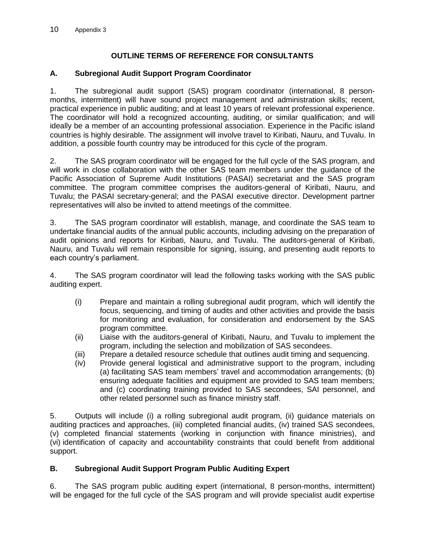# **OUTLINE TERMS OF REFERENCE FOR CONSULTANTS**

# **A. Subregional Audit Support Program Coordinator**

1. The subregional audit support (SAS) program coordinator (international, 8 personmonths, intermittent) will have sound project management and administration skills; recent, practical experience in public auditing; and at least 10 years of relevant professional experience. The coordinator will hold a recognized accounting, auditing, or similar qualification; and will ideally be a member of an accounting professional association. Experience in the Pacific island countries is highly desirable. The assignment will involve travel to Kiribati, Nauru, and Tuvalu. In addition, a possible fourth country may be introduced for this cycle of the program.

2. The SAS program coordinator will be engaged for the full cycle of the SAS program, and will work in close collaboration with the other SAS team members under the guidance of the Pacific Association of Supreme Audit Institutions (PASAI) secretariat and the SAS program committee. The program committee comprises the auditors-general of Kiribati, Nauru, and Tuvalu; the PASAI secretary-general; and the PASAI executive director. Development partner representatives will also be invited to attend meetings of the committee.

3. The SAS program coordinator will establish, manage, and coordinate the SAS team to undertake financial audits of the annual public accounts, including advising on the preparation of audit opinions and reports for Kiribati, Nauru, and Tuvalu. The auditors-general of Kiribati, Nauru, and Tuvalu will remain responsible for signing, issuing, and presenting audit reports to each country's parliament.

4. The SAS program coordinator will lead the following tasks working with the SAS public auditing expert.

- (i) Prepare and maintain a rolling subregional audit program, which will identify the focus, sequencing, and timing of audits and other activities and provide the basis for monitoring and evaluation, for consideration and endorsement by the SAS program committee.
- (ii) Liaise with the auditors-general of Kiribati, Nauru, and Tuvalu to implement the program, including the selection and mobilization of SAS secondees.
- (iii) Prepare a detailed resource schedule that outlines audit timing and sequencing.
- (iv) Provide general logistical and administrative support to the program, including (a) facilitating SAS team members' travel and accommodation arrangements; (b) ensuring adequate facilities and equipment are provided to SAS team members; and (c) coordinating training provided to SAS secondees, SAI personnel, and other related personnel such as finance ministry staff.

5. Outputs will include (i) a rolling subregional audit program, (ii) guidance materials on auditing practices and approaches, (iii) completed financial audits, (iv) trained SAS secondees, (v) completed financial statements (working in conjunction with finance ministries), and (vi) identification of capacity and accountability constraints that could benefit from additional support.

## **B. Subregional Audit Support Program Public Auditing Expert**

6. The SAS program public auditing expert (international, 8 person-months, intermittent) will be engaged for the full cycle of the SAS program and will provide specialist audit expertise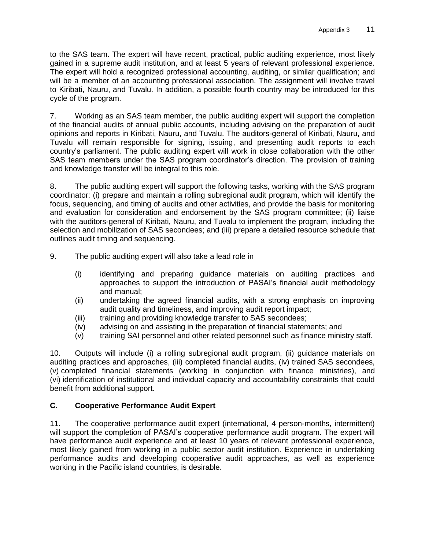to the SAS team. The expert will have recent, practical, public auditing experience, most likely gained in a supreme audit institution, and at least 5 years of relevant professional experience. The expert will hold a recognized professional accounting, auditing, or similar qualification; and will be a member of an accounting professional association. The assignment will involve travel to Kiribati, Nauru, and Tuvalu. In addition, a possible fourth country may be introduced for this cycle of the program.

7. Working as an SAS team member, the public auditing expert will support the completion of the financial audits of annual public accounts, including advising on the preparation of audit opinions and reports in Kiribati, Nauru, and Tuvalu. The auditors-general of Kiribati, Nauru, and Tuvalu will remain responsible for signing, issuing, and presenting audit reports to each country's parliament. The public auditing expert will work in close collaboration with the other SAS team members under the SAS program coordinator's direction. The provision of training and knowledge transfer will be integral to this role.

8. The public auditing expert will support the following tasks, working with the SAS program coordinator: (i) prepare and maintain a rolling subregional audit program, which will identify the focus, sequencing, and timing of audits and other activities, and provide the basis for monitoring and evaluation for consideration and endorsement by the SAS program committee; (ii) liaise with the auditors-general of Kiribati, Nauru, and Tuvalu to implement the program, including the selection and mobilization of SAS secondees; and (iii) prepare a detailed resource schedule that outlines audit timing and sequencing.

9. The public auditing expert will also take a lead role in

- (i) identifying and preparing guidance materials on auditing practices and approaches to support the introduction of PASAI's financial audit methodology and manual;
- (ii) undertaking the agreed financial audits, with a strong emphasis on improving audit quality and timeliness, and improving audit report impact;
- (iii) training and providing knowledge transfer to SAS secondees;
- (iv) advising on and assisting in the preparation of financial statements; and
- (v) training SAI personnel and other related personnel such as finance ministry staff.

10. Outputs will include (i) a rolling subregional audit program, (ii) guidance materials on auditing practices and approaches, (iii) completed financial audits, (iv) trained SAS secondees, (v) completed financial statements (working in conjunction with finance ministries), and (vi) identification of institutional and individual capacity and accountability constraints that could benefit from additional support.

# **C. Cooperative Performance Audit Expert**

11. The cooperative performance audit expert (international, 4 person-months, intermittent) will support the completion of PASAI's cooperative performance audit program. The expert will have performance audit experience and at least 10 years of relevant professional experience, most likely gained from working in a public sector audit institution. Experience in undertaking performance audits and developing cooperative audit approaches, as well as experience working in the Pacific island countries, is desirable.